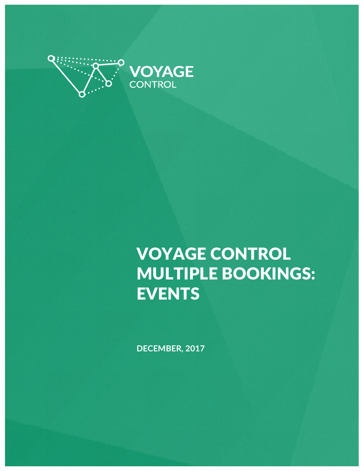

## VOYAGE CONTROL MULTIPLE BOOKINGS: **EVENTS**

**DECEMBER, 2017**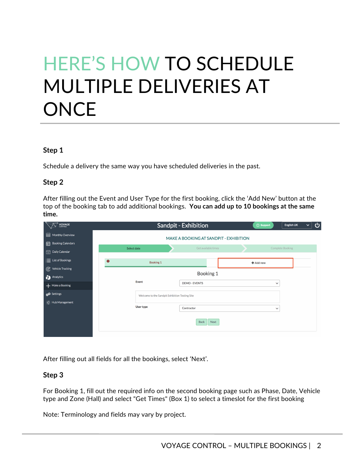# HERE'S HOW TO SCHEDULE MULTIPLE DELIVERIES AT **ONCE**

#### **Step 1**

Schedule a delivery the same way you have scheduled deliveries in the past.

#### **Step 2**

After filling out the Event and User Type for the first booking, click the 'Add New' button at the top of the booking tab to add additional bookings. **You can add up to 10 bookings at the same time.**

After filling out all fields for all the bookings, select 'Next'.

#### **Step 3**

For Booking 1, fill out the required info on the second booking page such as Phase, Date, Vehicle type and Zone (Hall) and select "Get Times" (Box 1) to select a timeslot for the first booking

Note: Terminology and fields may vary by project.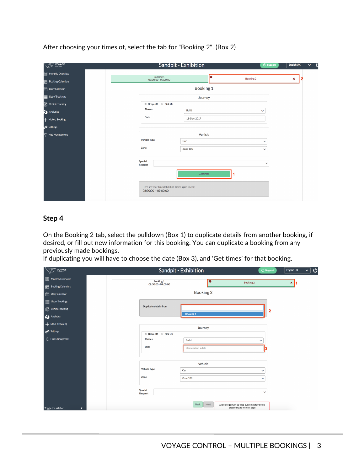After choosing your timeslot, select the tab for "Booking 2". (Box 2)

| <b>VOYAGE</b>                  | Sandpit - Exhibition                                                        |           | <b>2</b> Support | English UK<br>$\checkmark$<br>C |  |  |
|--------------------------------|-----------------------------------------------------------------------------|-----------|------------------|---------------------------------|--|--|
| 888<br>Monthly Overview        | Booking 1<br>08:30:00 - 09:00:00                                            | lo        | <b>Booking 2</b> | ×<br>2                          |  |  |
| Booking Calendars              |                                                                             |           |                  |                                 |  |  |
| $\frac{1}{11}$ Daily Calendar  | Booking 1                                                                   |           |                  |                                 |  |  |
| $\equiv$ List of Bookings      | Journey                                                                     |           |                  |                                 |  |  |
| $\mathcal{C}$ Vehicle Tracking | <sup>●</sup> Drop-off ● Pick Up                                             |           |                  |                                 |  |  |
| Analytics                      | <b>Phases</b><br>Build                                                      |           | $\checkmark$     |                                 |  |  |
| + Make a Booking               | <b>Date</b><br>18-Dec-2017                                                  |           |                  |                                 |  |  |
| SQ Settings                    |                                                                             |           |                  |                                 |  |  |
| Et Hub Management              |                                                                             | Vehicle   |                  |                                 |  |  |
|                                | Vehicle type<br>Car                                                         |           | $\checkmark$     |                                 |  |  |
|                                | Zone<br>Zone 100                                                            |           | $\checkmark$     |                                 |  |  |
|                                |                                                                             |           |                  |                                 |  |  |
|                                | <b>Special</b><br><b>Request</b>                                            |           | $\checkmark$     |                                 |  |  |
|                                |                                                                             | Get times |                  |                                 |  |  |
|                                | Here are your times (click Get Times again to edit)<br>08:30:00 -- 09:00:00 |           |                  |                                 |  |  |
|                                |                                                                             |           |                  |                                 |  |  |

### **Step 4**

On the Booking 2 tab, select the pulldown (Box 1) to duplicate details from another booking, if desired, or fill out new information for this booking. You can duplicate a booking from any previously made bookings.

If duplicating you will have to choose the date (Box 3), and 'Get times' for that booking.

| <b>S</b> VOYAGE                            |                                  | Sandpit - Exhibition |                                                                                          |                         | English UK        | ്<br>$\checkmark$ |  |  |
|--------------------------------------------|----------------------------------|----------------------|------------------------------------------------------------------------------------------|-------------------------|-------------------|-------------------|--|--|
| 68<br>Monthly Overview                     | Booking 1<br>08:30:00 - 09:00:00 |                      | $\bullet$<br><b>Booking 2</b>                                                            |                         | $\mathbf{x}$<br>1 |                   |  |  |
| 鳢<br><b>Booking Calendars</b>              |                                  |                      |                                                                                          |                         |                   |                   |  |  |
| [11] Daily Calendar                        |                                  | Booking 2            |                                                                                          |                         |                   |                   |  |  |
| $\equiv$ List of Bookings                  |                                  |                      |                                                                                          |                         |                   |                   |  |  |
| C Vehicle Tracking                         | <b>Duplicate details from</b>    |                      |                                                                                          | $\overline{\mathbf{2}}$ |                   |                   |  |  |
| Analytics                                  |                                  | <b>Booking 1</b>     |                                                                                          |                         |                   |                   |  |  |
| + Make a Booking                           |                                  | Journey              |                                                                                          |                         |                   |                   |  |  |
| p <sup>t</sup> Settings                    | <sup>●</sup> Drop-off ● Pick Up  |                      |                                                                                          |                         |                   |                   |  |  |
| $\frac{1}{2}$ Hub Management               | <b>Phases</b>                    | Build                |                                                                                          | $\checkmark$            |                   |                   |  |  |
|                                            | Date                             | Please select a date |                                                                                          |                         |                   |                   |  |  |
|                                            | Vehicle                          |                      |                                                                                          |                         |                   |                   |  |  |
|                                            |                                  |                      |                                                                                          |                         |                   |                   |  |  |
|                                            | Vehicle type                     | Car                  |                                                                                          | $\checkmark$            |                   |                   |  |  |
|                                            | Zone                             | Zone 100             |                                                                                          | $\checkmark$            |                   |                   |  |  |
|                                            |                                  |                      |                                                                                          |                         |                   |                   |  |  |
|                                            | <b>Special</b><br><b>Request</b> |                      |                                                                                          | $\checkmark$            |                   |                   |  |  |
|                                            |                                  |                      |                                                                                          |                         |                   |                   |  |  |
| Toggle the sidebar<br>$\blacktriangleleft$ |                                  | Back                 | Next<br>All bookings must be filled out completely before<br>proceeding to the next page |                         |                   |                   |  |  |